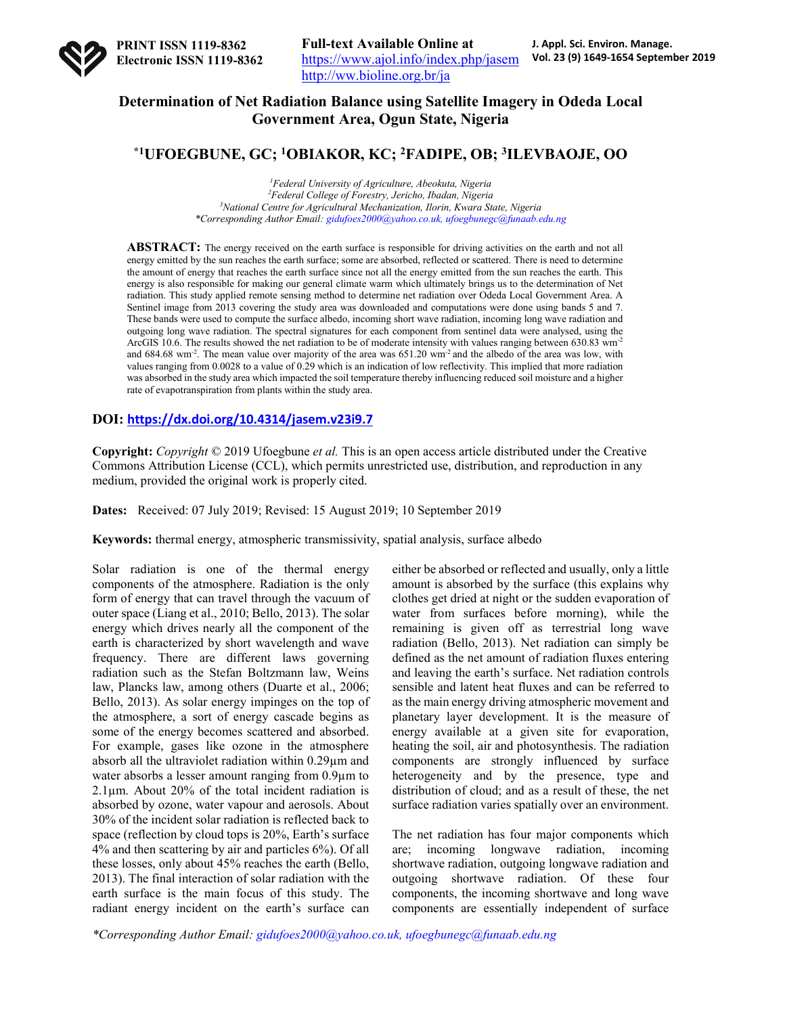

# **Determination of Net Radiation Balance using Satellite Imagery in Odeda Local Government Area, Ogun State, Nigeria**

# **\*1UFOEGBUNE, GC; 1OBIAKOR, KC; 2FADIPE, OB; 3ILEVBAOJE, OO**

 *Federal University of Agriculture, Abeokuta, Nigeria Federal College of Forestry, Jericho, Ibadan, Nigeria National Centre for Agricultural Mechanization, Ilorin, Kwara State, Nigeria \*Corresponding Author Email: gidufoes2000@yahoo.co.uk, ufoegbunegc@funaab.edu.ng*

**ABSTRACT:** The energy received on the earth surface is responsible for driving activities on the earth and not all energy emitted by the sun reaches the earth surface; some are absorbed, reflected or scattered. There is need to determine the amount of energy that reaches the earth surface since not all the energy emitted from the sun reaches the earth. This energy is also responsible for making our general climate warm which ultimately brings us to the determination of Net radiation. This study applied remote sensing method to determine net radiation over Odeda Local Government Area. A Sentinel image from 2013 covering the study area was downloaded and computations were done using bands 5 and 7. These bands were used to compute the surface albedo, incoming short wave radiation, incoming long wave radiation and outgoing long wave radiation. The spectral signatures for each component from sentinel data were analysed, using the ArcGIS 10.6. The results showed the net radiation to be of moderate intensity with values ranging between 630.83 wm<sup>-2</sup> and  $684.68$  wm<sup>-2</sup>. The mean value over majority of the area was  $651.20$  wm<sup>-2</sup> and the albedo of the area was low, with values ranging from 0.0028 to a value of 0.29 which is an indication of low reflectivity. This implied that more radiation was absorbed in the study area which impacted the soil temperature thereby influencing reduced soil moisture and a higher rate of evapotranspiration from plants within the study area.

#### **DOI: https://dx.doi.org/10.4314/jasem.v23i9.7**

**Copyright:** *Copyright* © 2019 Ufoegbune *et al.* This is an open access article distributed under the Creative Commons Attribution License (CCL), which permits unrestricted use, distribution, and reproduction in any medium, provided the original work is properly cited.

**Dates:** Received: 07 July 2019; Revised: 15 August 2019; 10 September 2019

**Keywords:** thermal energy, atmospheric transmissivity, spatial analysis, surface albedo

Solar radiation is one of the thermal energy components of the atmosphere. Radiation is the only form of energy that can travel through the vacuum of outer space (Liang et al., 2010; Bello, 2013). The solar energy which drives nearly all the component of the earth is characterized by short wavelength and wave frequency. There are different laws governing radiation such as the Stefan Boltzmann law, Weins law, Plancks law, among others (Duarte et al., 2006; Bello, 2013). As solar energy impinges on the top of the atmosphere, a sort of energy cascade begins as some of the energy becomes scattered and absorbed. For example, gases like ozone in the atmosphere absorb all the ultraviolet radiation within 0.29µm and water absorbs a lesser amount ranging from 0.9µm to  $2.1\mu$ m. About 20% of the total incident radiation is absorbed by ozone, water vapour and aerosols. About 30% of the incident solar radiation is reflected back to space (reflection by cloud tops is 20%, Earth's surface 4% and then scattering by air and particles 6%). Of all these losses, only about 45% reaches the earth (Bello, 2013). The final interaction of solar radiation with the earth surface is the main focus of this study. The radiant energy incident on the earth's surface can either be absorbed or reflected and usually, only a little amount is absorbed by the surface (this explains why clothes get dried at night or the sudden evaporation of water from surfaces before morning), while the remaining is given off as terrestrial long wave radiation (Bello, 2013). Net radiation can simply be defined as the net amount of radiation fluxes entering and leaving the earth's surface. Net radiation controls sensible and latent heat fluxes and can be referred to as the main energy driving atmospheric movement and planetary layer development. It is the measure of energy available at a given site for evaporation, heating the soil, air and photosynthesis. The radiation components are strongly influenced by surface heterogeneity and by the presence, type and distribution of cloud; and as a result of these, the net surface radiation varies spatially over an environment.

The net radiation has four major components which are; incoming longwave radiation, incoming shortwave radiation, outgoing longwave radiation and outgoing shortwave radiation. Of these four components, the incoming shortwave and long wave components are essentially independent of surface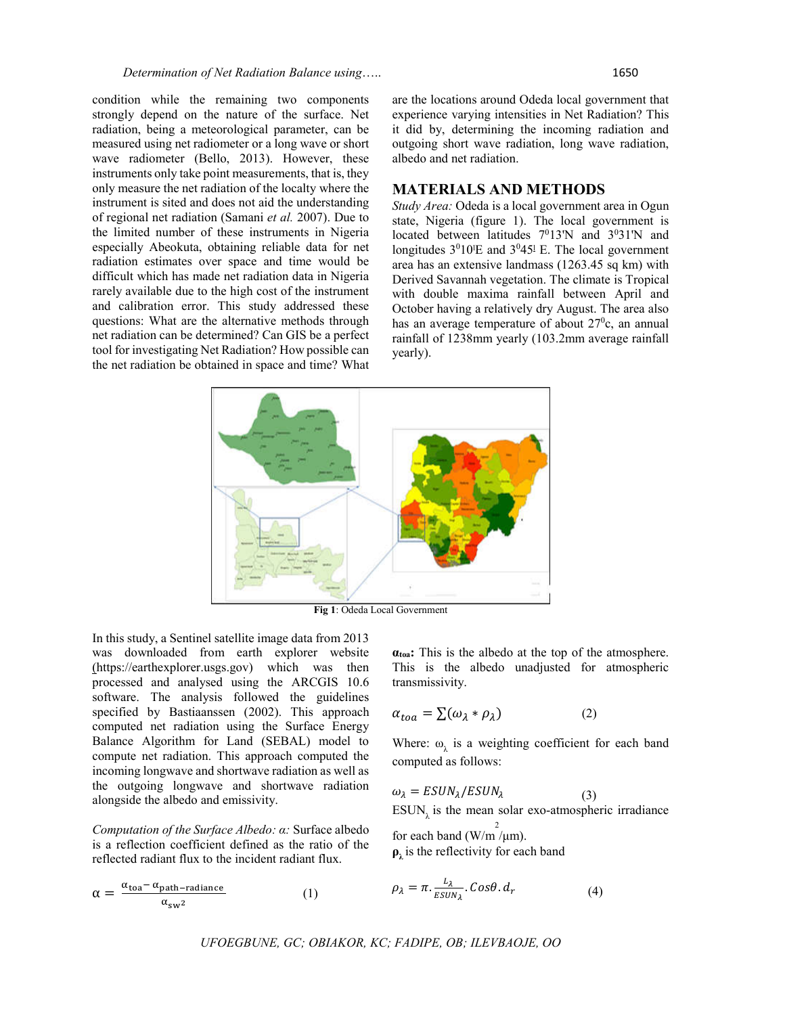condition while the remaining two components strongly depend on the nature of the surface. Net radiation, being a meteorological parameter, can be measured using net radiometer or a long wave or short wave radiometer (Bello, 2013). However, these instruments only take point measurements, that is, they only measure the net radiation of the localty where the instrument is sited and does not aid the understanding of regional net radiation (Samani *et al.* 2007). Due to the limited number of these instruments in Nigeria especially Abeokuta, obtaining reliable data for net radiation estimates over space and time would be difficult which has made net radiation data in Nigeria rarely available due to the high cost of the instrument and calibration error. This study addressed these questions: What are the alternative methods through net radiation can be determined? Can GIS be a perfect tool for investigating Net Radiation? How possible can the net radiation be obtained in space and time? What are the locations around Odeda local government that experience varying intensities in Net Radiation? This it did by, determining the incoming radiation and outgoing short wave radiation, long wave radiation, albedo and net radiation.

## **MATERIALS AND METHODS**

*Study Area:* Odeda is a local government area in Ogun state, Nigeria (figure 1). The local government is located between latitudes  $7^013'N$  and  $3^031'N$  and longitudes  $3^010^1E$  and  $3^045^1E$ . The local government area has an extensive landmass (1263.45 sq km) with Derived Savannah vegetation. The climate is Tropical with double maxima rainfall between April and October having a relatively dry August. The area also has an average temperature of about 27<sup>0</sup>c, an annual rainfall of 1238mm yearly (103.2mm average rainfall yearly).



**Fig 1**: Odeda Local Government

In this study, a Sentinel satellite image data from 2013 was downloaded from earth explorer website (https://earthexplorer.usgs.gov) which was then processed and analysed using the ARCGIS 10.6 software. The analysis followed the guidelines specified by Bastiaanssen (2002). This approach computed net radiation using the Surface Energy Balance Algorithm for Land (SEBAL) model to compute net radiation. This approach computed the incoming longwave and shortwave radiation as well as the outgoing longwave and shortwave radiation alongside the albedo and emissivity.

*Computation of the Surface Albedo: α:* Surface albedo is a reflection coefficient defined as the ratio of the reflected radiant flux to the incident radiant flux.

$$
\alpha = \frac{\alpha_{\text{toa}} - \alpha_{\text{path-radiance}}}{\alpha_{\text{sw}^2}} \tag{1}
$$

**αtoa:** This is the albedo at the top of the atmosphere. This is the albedo unadjusted for atmospheric transmissivity.

$$
\alpha_{toa} = \sum (\omega_{\lambda} * \rho_{\lambda}) \tag{2}
$$

Where:  $\omega_i$  is a weighting coefficient for each band computed as follows:

$$
\omega_{\lambda} = ESUN_{\lambda}/ESUN_{\lambda}
$$
 (3)  
ESUN <sub>$\lambda$</sub>  is the mean solar exo-atmospheric irradiance

for each band  $\left(\frac{V}{m}\right)^2$  (W/m<sup>2</sup>).  $\rho_{\lambda}$  is the reflectivity for each band

$$
\rho_{\lambda} = \pi. \frac{L_{\lambda}}{ESUN_{\lambda}}. \cos\theta. d_r \tag{4}
$$

*UFOEGBUNE, GC; OBIAKOR, KC; FADIPE, OB; ILEVBAOJE, OO*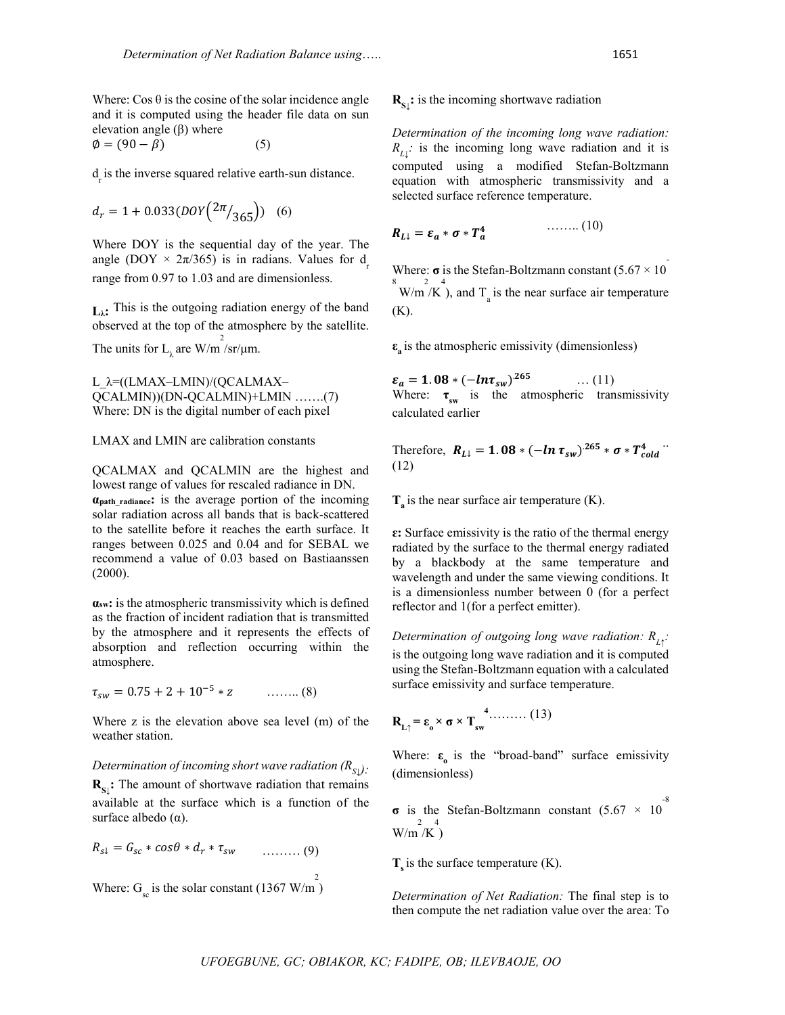Where:  $\cos \theta$  is the cosine of the solar incidence angle and it is computed using the header file data on sun elevation angle  $(β)$  where  $\emptyset = (90 - \beta)$  (5)

 $d_{\rm r}$  is the inverse squared relative earth-sun distance.

$$
d_r = 1 + 0.033 (D OY \left(\frac{2\pi}{365}\right))
$$
 (6)

Where DOY is the sequential day of the year. The angle (DOY  $\times$  2π/365) is in radians. Values for d range from 0.97 to 1.03 and are dimensionless.

**Lλ:** This is the outgoing radiation energy of the band observed at the top of the atmosphere by the satellite. The units for  $L_{\lambda}$  are W/m /sr/ $\mu$ m.

L\_λ=((LMAX–LMIN)/(QCALMAX– QCALMIN))(DN-QCALMIN)+LMIN …….(7) Where: DN is the digital number of each pixel

LMAX and LMIN are calibration constants

QCALMAX and QCALMIN are the highest and lowest range of values for rescaled radiance in DN. **αpath\_radiance:** is the average portion of the incoming solar radiation across all bands that is back-scattered to the satellite before it reaches the earth surface. It ranges between 0.025 and 0.04 and for SEBAL we recommend a value of 0.03 based on Bastiaanssen (2000).

**αsw:** is the atmospheric transmissivity which is defined as the fraction of incident radiation that is transmitted by the atmosphere and it represents the effects of absorption and reflection occurring within the atmosphere.

 $\tau_{sw} = 0.75 + 2 + 10^{-5} * z$  ……… (8)

Where z is the elevation above sea level (m) of the weather station.

#### *Determination of incoming short wave radiation*  $(R_{S_1})$ :

**R**<sub>S</sub><sub>↓</sub>: The amount of shortwave radiation that remains available at the surface which is a function of the surface albedo  $(\alpha)$ .

$$
R_{s\downarrow} = G_{sc} * cos\theta * d_r * \tau_{sw} \qquad \qquad \ldots \ldots \ldots (9)
$$

Where:  $G_{\rm sc}$  is the solar constant (1367 W/m<sup>2</sup>)

# $\mathbf{R}_{\mathbf{S}\downarrow}$ : is the incoming shortwave radiation

*Determination of the incoming long wave radiation:*  $R_{L}$  is the incoming long wave radiation and it is computed using a modified Stefan-Boltzmann equation with atmospheric transmissivity and a selected surface reference temperature.

$$
R_{L\downarrow} = \varepsilon_a * \sigma * T_a^4 \qquad \qquad \dots \dots \dots (10)
$$

Where:  $\sigma$  is the Stefan-Boltzmann constant (5.67  $\times$  10  $W/m^2/K$ , and  $T_a$  is the near surface air temperature (K).

**ε**<sub>s</sub> is the atmospheric emissivity (dimensionless)

$$
\varepsilon_a = 1.08 * (-ln \tau_{sw})^{265} \qquad \dots (11)
$$
  
Where:  $\tau_{sw}$  is the atmospheric transmissivity calculated earlier

Therefore,  $R_{L\downarrow} = 1.08 * (-\ln \tau_{sw})^{265} * \sigma * T_{cold}^{4}$ . (12)

 $T_a$  is the near surface air temperature  $(K)$ .

**ɛ:** Surface emissivity is the ratio of the thermal energy radiated by the surface to the thermal energy radiated by a blackbody at the same temperature and wavelength and under the same viewing conditions. It is a dimensionless number between 0 (for a perfect reflector and 1(for a perfect emitter).

*Determination of outgoing long wave radiation: RL↑ :* is the outgoing long wave radiation and it is computed using the Stefan-Boltzmann equation with a calculated surface emissivity and surface temperature.

$$
\mathbf{R}_{\mathbf{L}\uparrow} = \varepsilon_{\mathbf{o}} \times \boldsymbol{\sigma} \times \mathbf{T}_{\mathbf{sw}}^{\mathbf{4}} \dots \dots \dots (13)
$$

Where:  $\varepsilon_0$  is the "broad-band" surface emissivity (dimensionless)

**σ** is the Stefan-Boltzmann constant  $(5.67 \times 10^{-8})$  $W/m^2/K^4$ 

 $T<sub>s</sub>$  is the surface temperature  $(K)$ .

*Determination of Net Radiation:* The final step is to then compute the net radiation value over the area: To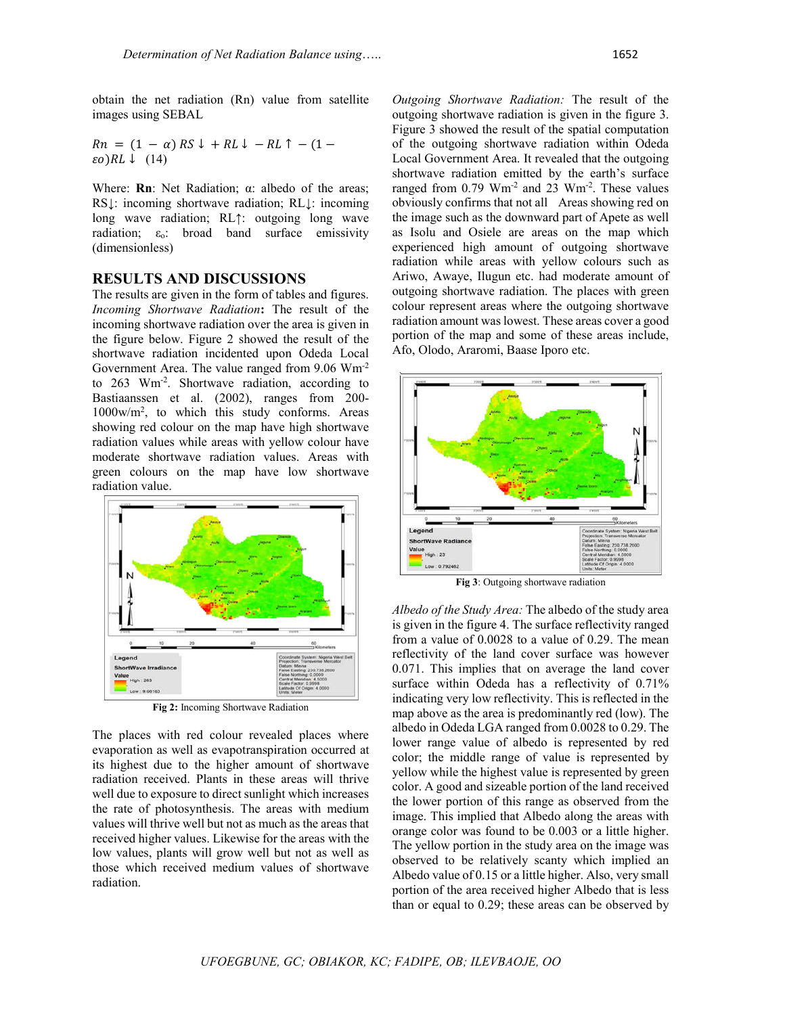obtain the net radiation (Rn) value from satellite images using SEBAL

 $Rn = (1 - \alpha) RS \downarrow + RL \downarrow - RL \uparrow - (1 \epsilon o$ ) $RL \downarrow (14)$ 

Where: **Rn**: Net Radiation; α: albedo of the areas; RS↓: incoming shortwave radiation; RL↓: incoming long wave radiation; RL↑: outgoing long wave radiation;  $\varepsilon_0$ : broad band surface emissivity (dimensionless)

#### **RESULTS AND DISCUSSIONS**

The results are given in the form of tables and figures. *Incoming Shortwave Radiation***:** The result of the incoming shortwave radiation over the area is given in the figure below. Figure 2 showed the result of the shortwave radiation incidented upon Odeda Local Government Area. The value ranged from 9.06 Wm-2 to 263 Wm-2 . Shortwave radiation, according to Bastiaanssen et al. (2002), ranges from 200- 1000w/m2 , to which this study conforms. Areas showing red colour on the map have high shortwave radiation values while areas with yellow colour have moderate shortwave radiation values. Areas with green colours on the map have low shortwave radiation value.



**Fig 2:** Incoming Shortwave Radiation

The places with red colour revealed places where evaporation as well as evapotranspiration occurred at its highest due to the higher amount of shortwave radiation received. Plants in these areas will thrive well due to exposure to direct sunlight which increases the rate of photosynthesis. The areas with medium values will thrive well but not as much as the areas that received higher values. Likewise for the areas with the low values, plants will grow well but not as well as those which received medium values of shortwave radiation.

*Outgoing Shortwave Radiation:* The result of the outgoing shortwave radiation is given in the figure 3. Figure 3 showed the result of the spatial computation of the outgoing shortwave radiation within Odeda Local Government Area. It revealed that the outgoing shortwave radiation emitted by the earth's surface ranged from 0.79 Wm<sup>-2</sup> and 23 Wm<sup>-2</sup>. These values obviously confirms that not all Areas showing red on the image such as the downward part of Apete as well as Isolu and Osiele are areas on the map which experienced high amount of outgoing shortwave radiation while areas with yellow colours such as Ariwo, Awaye, Ilugun etc. had moderate amount of outgoing shortwave radiation. The places with green colour represent areas where the outgoing shortwave radiation amount was lowest. These areas cover a good portion of the map and some of these areas include, Afo, Olodo, Araromi, Baase Iporo etc.



*Albedo of the Study Area:* The albedo of the study area is given in the figure 4. The surface reflectivity ranged from a value of 0.0028 to a value of 0.29. The mean reflectivity of the land cover surface was however 0.071. This implies that on average the land cover surface within Odeda has a reflectivity of 0.71% indicating very low reflectivity. This is reflected in the map above as the area is predominantly red (low). The albedo in Odeda LGA ranged from 0.0028 to 0.29. The lower range value of albedo is represented by red color; the middle range of value is represented by yellow while the highest value is represented by green color. A good and sizeable portion of the land received the lower portion of this range as observed from the image. This implied that Albedo along the areas with orange color was found to be 0.003 or a little higher. The yellow portion in the study area on the image was observed to be relatively scanty which implied an Albedo value of 0.15 or a little higher. Also, very small portion of the area received higher Albedo that is less than or equal to 0.29; these areas can be observed by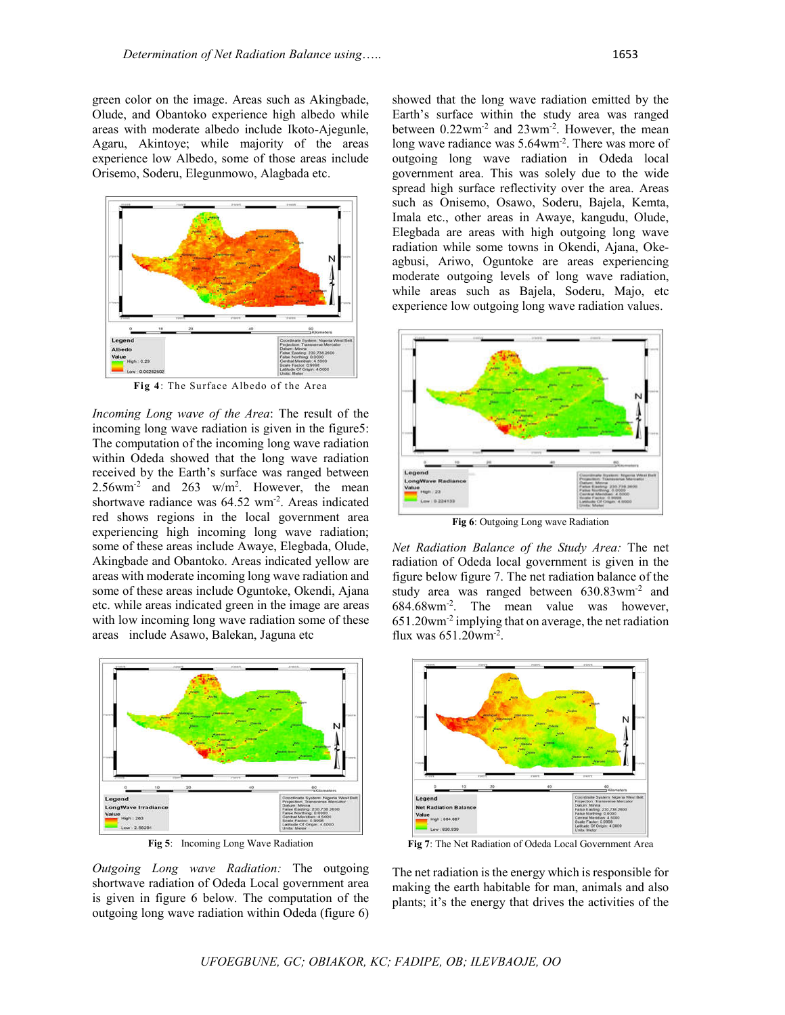green color on the image. Areas such as Akingbade, Olude, and Obantoko experience high albedo while areas with moderate albedo include Ikoto-Ajegunle, Agaru, Akintoye; while majority of the areas experience low Albedo, some of those areas include Orisemo, Soderu, Elegunmowo, Alagbada etc.



**Fig 4**: The Surface Albedo of the Area

*Incoming Long wave of the Area*: The result of the incoming long wave radiation is given in the figure5: The computation of the incoming long wave radiation within Odeda showed that the long wave radiation received by the Earth's surface was ranged between  $2.56$ wm<sup>-2</sup> and  $263$  w/m<sup>2</sup>. However, the mean shortwave radiance was 64.52 wm<sup>-2</sup>. Areas indicated red shows regions in the local government area experiencing high incoming long wave radiation; some of these areas include Awaye, Elegbada, Olude, Akingbade and Obantoko. Areas indicated yellow are areas with moderate incoming long wave radiation and some of these areas include Oguntoke, Okendi, Ajana etc. while areas indicated green in the image are areas with low incoming long wave radiation some of these areas include Asawo, Balekan, Jaguna etc



**Fig 5**: Incoming Long Wave Radiation

*Outgoing Long wave Radiation:* The outgoing shortwave radiation of Odeda Local government area is given in figure 6 below. The computation of the outgoing long wave radiation within Odeda (figure 6)

showed that the long wave radiation emitted by the Earth's surface within the study area was ranged between 0.22wm<sup>-2</sup> and 23wm<sup>-2</sup>. However, the mean long wave radiance was 5.64wm<sup>-2</sup>. There was more of outgoing long wave radiation in Odeda local government area. This was solely due to the wide spread high surface reflectivity over the area. Areas such as Onisemo, Osawo, Soderu, Bajela, Kemta, Imala etc., other areas in Awaye, kangudu, Olude, Elegbada are areas with high outgoing long wave radiation while some towns in Okendi, Ajana, Okeagbusi, Ariwo, Oguntoke are areas experiencing moderate outgoing levels of long wave radiation, while areas such as Bajela, Soderu, Majo, etc experience low outgoing long wave radiation values.



**Fig 6**: Outgoing Long wave Radiation

*Net Radiation Balance of the Study Area:* The net radiation of Odeda local government is given in the figure below figure 7. The net radiation balance of the study area was ranged between 630.83wm-2 and 684.68wm-2 . The mean value was however, 651.20wm-2 implying that on average, the net radiation flux was  $651.20$ wm<sup>-2</sup>.



**Fig 7**: The Net Radiation of Odeda Local Government Area

The net radiation is the energy which is responsible for making the earth habitable for man, animals and also plants; it's the energy that drives the activities of the